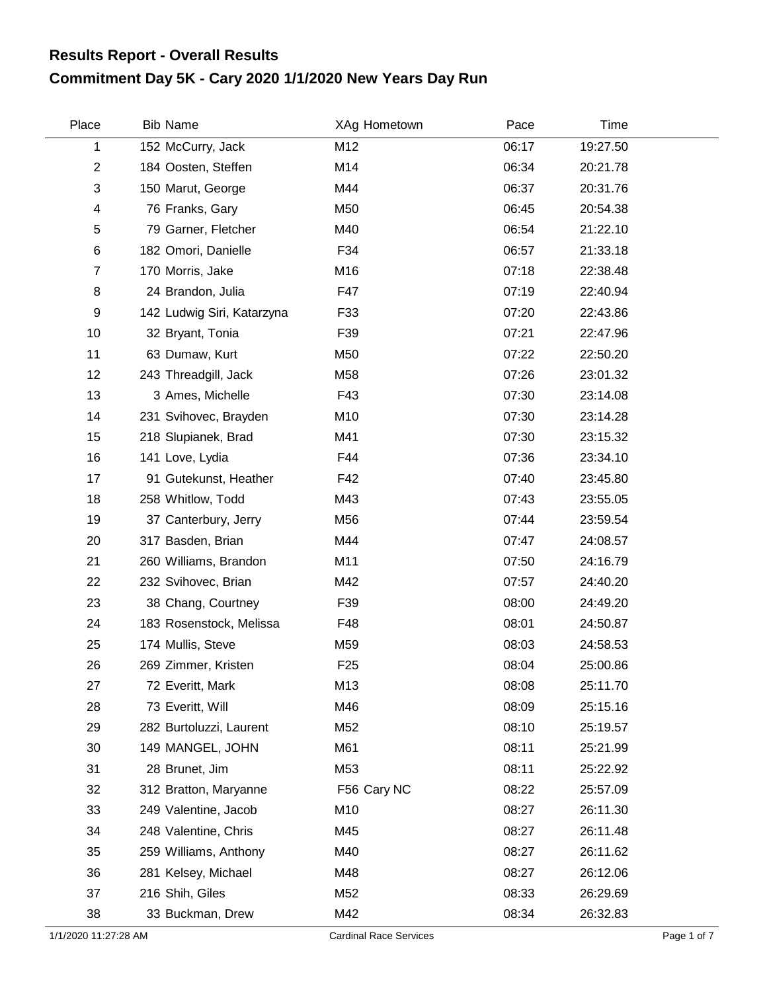## **Commitment Day 5K - Cary 2020 1/1/2020 New Years Day Run Results Report - Overall Results**

| Place                     | <b>Bib Name</b>            | XAg Hometown    | Pace  | Time     |  |
|---------------------------|----------------------------|-----------------|-------|----------|--|
| $\mathbf{1}$              | 152 McCurry, Jack          | M12             | 06:17 | 19:27.50 |  |
| $\overline{2}$            | 184 Oosten, Steffen        | M14             | 06:34 | 20:21.78 |  |
| $\ensuremath{\mathsf{3}}$ | 150 Marut, George          | M44             | 06:37 | 20:31.76 |  |
| 4                         | 76 Franks, Gary            | M50             | 06:45 | 20:54.38 |  |
| $\mathbf 5$               | 79 Garner, Fletcher        | M40             | 06:54 | 21:22.10 |  |
| $\,6$                     | 182 Omori, Danielle        | F34             | 06:57 | 21:33.18 |  |
| $\overline{7}$            | 170 Morris, Jake           | M16             | 07:18 | 22:38.48 |  |
| 8                         | 24 Brandon, Julia          | F47             | 07:19 | 22:40.94 |  |
| 9                         | 142 Ludwig Siri, Katarzyna | F33             | 07:20 | 22:43.86 |  |
| 10                        | 32 Bryant, Tonia           | F39             | 07:21 | 22:47.96 |  |
| 11                        | 63 Dumaw, Kurt             | M50             | 07:22 | 22:50.20 |  |
| 12                        | 243 Threadgill, Jack       | M58             | 07:26 | 23:01.32 |  |
| 13                        | 3 Ames, Michelle           | F43             | 07:30 | 23:14.08 |  |
| 14                        | 231 Svihovec, Brayden      | M10             | 07:30 | 23:14.28 |  |
| 15                        | 218 Slupianek, Brad        | M41             | 07:30 | 23:15.32 |  |
| 16                        | 141 Love, Lydia            | F44             | 07:36 | 23:34.10 |  |
| 17                        | 91 Gutekunst, Heather      | F42             | 07:40 | 23:45.80 |  |
| 18                        | 258 Whitlow, Todd          | M43             | 07:43 | 23:55.05 |  |
| 19                        | 37 Canterbury, Jerry       | M56             | 07:44 | 23:59.54 |  |
| 20                        | 317 Basden, Brian          | M44             | 07:47 | 24:08.57 |  |
| 21                        | 260 Williams, Brandon      | M11             | 07:50 | 24:16.79 |  |
| 22                        | 232 Svihovec, Brian        | M42             | 07:57 | 24:40.20 |  |
| 23                        | 38 Chang, Courtney         | F39             | 08:00 | 24:49.20 |  |
| 24                        | 183 Rosenstock, Melissa    | F48             | 08:01 | 24:50.87 |  |
| 25                        | 174 Mullis, Steve          | M59             | 08:03 | 24:58.53 |  |
| 26                        | 269 Zimmer, Kristen        | F <sub>25</sub> | 08:04 | 25:00.86 |  |
| 27                        | 72 Everitt, Mark           | M13             | 08:08 | 25:11.70 |  |
| 28                        | 73 Everitt, Will           | M46             | 08:09 | 25:15.16 |  |
| 29                        | 282 Burtoluzzi, Laurent    | M52             | 08:10 | 25:19.57 |  |
| 30                        | 149 MANGEL, JOHN           | M61             | 08:11 | 25:21.99 |  |
| 31                        | 28 Brunet, Jim             | M53             | 08:11 | 25:22.92 |  |
| 32                        | 312 Bratton, Maryanne      | F56 Cary NC     | 08:22 | 25:57.09 |  |
| 33                        | 249 Valentine, Jacob       | M10             | 08:27 | 26:11.30 |  |
| 34                        | 248 Valentine, Chris       | M45             | 08:27 | 26:11.48 |  |
| 35                        | 259 Williams, Anthony      | M40             | 08:27 | 26:11.62 |  |
| 36                        | 281 Kelsey, Michael        | M48             | 08:27 | 26:12.06 |  |
| 37                        | 216 Shih, Giles            | M52             | 08:33 | 26:29.69 |  |
| 38                        | 33 Buckman, Drew           | M42             | 08:34 | 26:32.83 |  |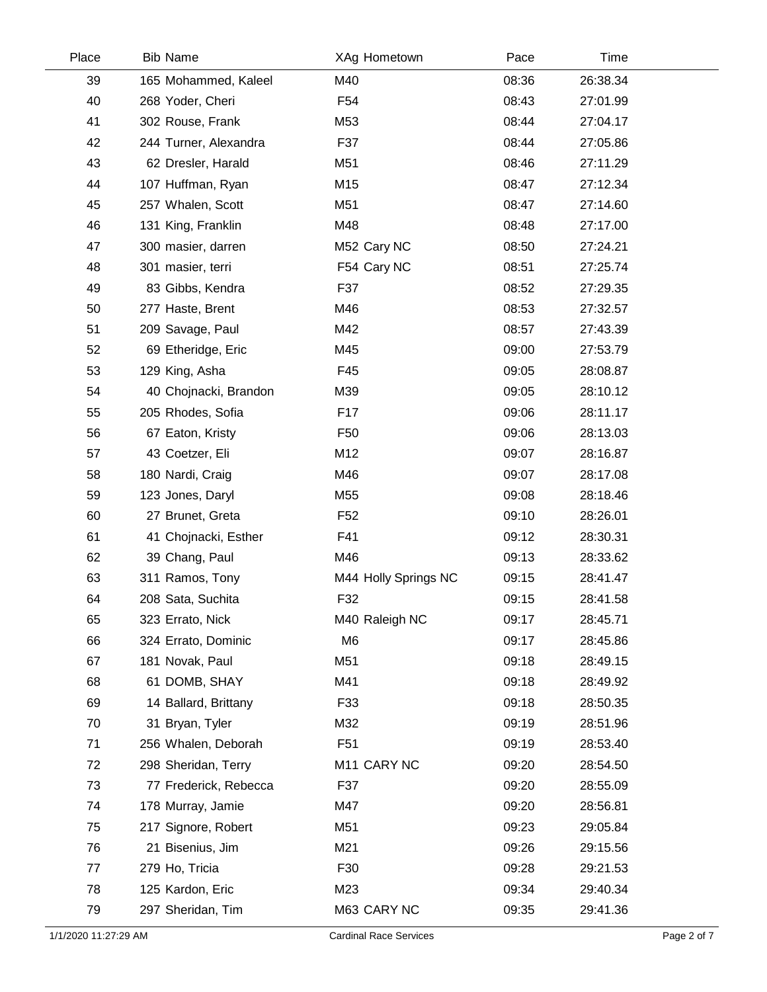| Place | <b>Bib Name</b>       | XAg Hometown         | Pace  | Time     |  |
|-------|-----------------------|----------------------|-------|----------|--|
| 39    | 165 Mohammed, Kaleel  | M40                  | 08:36 | 26:38.34 |  |
| 40    | 268 Yoder, Cheri      | F <sub>54</sub>      | 08:43 | 27:01.99 |  |
| 41    | 302 Rouse, Frank      | M53                  | 08:44 | 27:04.17 |  |
| 42    | 244 Turner, Alexandra | F37                  | 08:44 | 27:05.86 |  |
| 43    | 62 Dresler, Harald    | M51                  | 08:46 | 27:11.29 |  |
| 44    | 107 Huffman, Ryan     | M15                  | 08:47 | 27:12.34 |  |
| 45    | 257 Whalen, Scott     | M51                  | 08:47 | 27:14.60 |  |
| 46    | 131 King, Franklin    | M48                  | 08:48 | 27:17.00 |  |
| 47    | 300 masier, darren    | M52 Cary NC          | 08:50 | 27:24.21 |  |
| 48    | 301 masier, terri     | F54 Cary NC          | 08:51 | 27:25.74 |  |
| 49    | 83 Gibbs, Kendra      | F37                  | 08:52 | 27:29.35 |  |
| 50    | 277 Haste, Brent      | M46                  | 08:53 | 27:32.57 |  |
| 51    | 209 Savage, Paul      | M42                  | 08:57 | 27:43.39 |  |
| 52    | 69 Etheridge, Eric    | M45                  | 09:00 | 27:53.79 |  |
| 53    | 129 King, Asha        | F45                  | 09:05 | 28:08.87 |  |
| 54    | 40 Chojnacki, Brandon | M39                  | 09:05 | 28:10.12 |  |
| 55    | 205 Rhodes, Sofia     | F <sub>17</sub>      | 09:06 | 28:11.17 |  |
| 56    | 67 Eaton, Kristy      | F <sub>50</sub>      | 09:06 | 28:13.03 |  |
| 57    | 43 Coetzer, Eli       | M12                  | 09:07 | 28:16.87 |  |
| 58    | 180 Nardi, Craig      | M46                  | 09:07 | 28:17.08 |  |
| 59    | 123 Jones, Daryl      | M55                  | 09:08 | 28:18.46 |  |
| 60    | 27 Brunet, Greta      | F <sub>52</sub>      | 09:10 | 28:26.01 |  |
| 61    | 41 Chojnacki, Esther  | F41                  | 09:12 | 28:30.31 |  |
| 62    | 39 Chang, Paul        | M46                  | 09:13 | 28:33.62 |  |
| 63    | 311 Ramos, Tony       | M44 Holly Springs NC | 09:15 | 28:41.47 |  |
| 64    | 208 Sata, Suchita     | F32                  | 09:15 | 28:41.58 |  |
| 65    | 323 Errato, Nick      | M40 Raleigh NC       | 09:17 | 28:45.71 |  |
| 66    | 324 Errato, Dominic   | M <sub>6</sub>       | 09:17 | 28:45.86 |  |
| 67    | 181 Novak, Paul       | M51                  | 09:18 | 28:49.15 |  |
| 68    | 61 DOMB, SHAY         | M41                  | 09:18 | 28:49.92 |  |
| 69    | 14 Ballard, Brittany  | F33                  | 09:18 | 28:50.35 |  |
| 70    | 31 Bryan, Tyler       | M32                  | 09:19 | 28:51.96 |  |
| 71    | 256 Whalen, Deborah   | F <sub>51</sub>      | 09:19 | 28:53.40 |  |
| 72    | 298 Sheridan, Terry   | M11 CARY NC          | 09:20 | 28:54.50 |  |
| 73    | 77 Frederick, Rebecca | F37                  | 09:20 | 28:55.09 |  |
| 74    | 178 Murray, Jamie     | M47                  | 09:20 | 28:56.81 |  |
| 75    | 217 Signore, Robert   | M51                  | 09:23 | 29:05.84 |  |
| 76    | 21 Bisenius, Jim      | M21                  | 09:26 | 29:15.56 |  |
| 77    | 279 Ho, Tricia        | F30                  | 09:28 | 29:21.53 |  |
| 78    | 125 Kardon, Eric      | M23                  | 09:34 | 29:40.34 |  |
| 79    | 297 Sheridan, Tim     | M63 CARY NC          | 09:35 | 29:41.36 |  |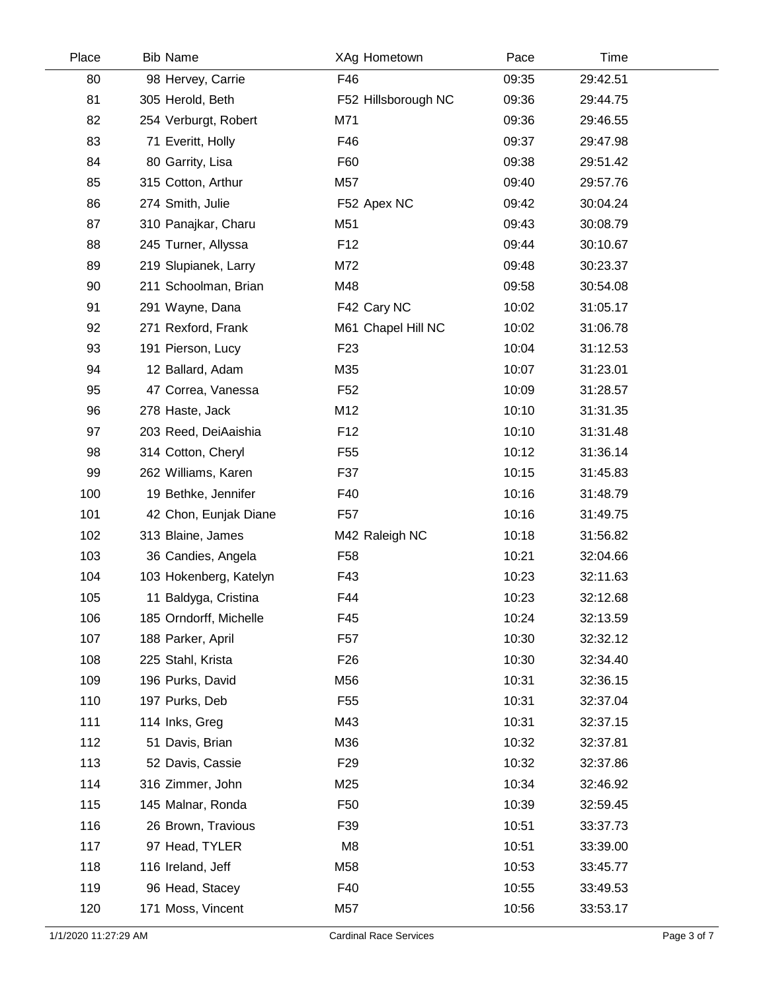| Place | <b>Bib Name</b>        | XAg Hometown        | Pace  | Time     |  |
|-------|------------------------|---------------------|-------|----------|--|
| 80    | 98 Hervey, Carrie      | F46                 | 09:35 | 29:42.51 |  |
| 81    | 305 Herold, Beth       | F52 Hillsborough NC | 09:36 | 29:44.75 |  |
| 82    | 254 Verburgt, Robert   | M71                 | 09:36 | 29:46.55 |  |
| 83    | 71 Everitt, Holly      | F46                 | 09:37 | 29:47.98 |  |
| 84    | 80 Garrity, Lisa       | F60                 | 09:38 | 29:51.42 |  |
| 85    | 315 Cotton, Arthur     | M57                 | 09:40 | 29:57.76 |  |
| 86    | 274 Smith, Julie       | F52 Apex NC         | 09:42 | 30:04.24 |  |
| 87    | 310 Panajkar, Charu    | M51                 | 09:43 | 30:08.79 |  |
| 88    | 245 Turner, Allyssa    | F <sub>12</sub>     | 09:44 | 30:10.67 |  |
| 89    | 219 Slupianek, Larry   | M72                 | 09:48 | 30:23.37 |  |
| 90    | 211 Schoolman, Brian   | M48                 | 09:58 | 30:54.08 |  |
| 91    | 291 Wayne, Dana        | F42 Cary NC         | 10:02 | 31:05.17 |  |
| 92    | 271 Rexford, Frank     | M61 Chapel Hill NC  | 10:02 | 31:06.78 |  |
| 93    | 191 Pierson, Lucy      | F <sub>23</sub>     | 10:04 | 31:12.53 |  |
| 94    | 12 Ballard, Adam       | M35                 | 10:07 | 31:23.01 |  |
| 95    | 47 Correa, Vanessa     | F <sub>52</sub>     | 10:09 | 31:28.57 |  |
| 96    | 278 Haste, Jack        | M12                 | 10:10 | 31:31.35 |  |
| 97    | 203 Reed, DeiAaishia   | F <sub>12</sub>     | 10:10 | 31:31.48 |  |
| 98    | 314 Cotton, Cheryl     | F <sub>55</sub>     | 10:12 | 31:36.14 |  |
| 99    | 262 Williams, Karen    | F37                 | 10:15 | 31:45.83 |  |
| 100   | 19 Bethke, Jennifer    | F40                 | 10:16 | 31:48.79 |  |
| 101   | 42 Chon, Eunjak Diane  | F <sub>57</sub>     | 10:16 | 31:49.75 |  |
| 102   | 313 Blaine, James      | M42 Raleigh NC      | 10:18 | 31:56.82 |  |
| 103   | 36 Candies, Angela     | F <sub>58</sub>     | 10:21 | 32:04.66 |  |
| 104   | 103 Hokenberg, Katelyn | F43                 | 10:23 | 32:11.63 |  |
| 105   | 11 Baldyga, Cristina   | F44                 | 10:23 | 32:12.68 |  |
| 106   | 185 Orndorff, Michelle | F45                 | 10:24 | 32:13.59 |  |
| 107   | 188 Parker, April      | F <sub>57</sub>     | 10:30 | 32:32.12 |  |
| 108   | 225 Stahl, Krista      | F <sub>26</sub>     | 10:30 | 32:34.40 |  |
| 109   | 196 Purks, David       | M56                 | 10:31 | 32:36.15 |  |
| 110   | 197 Purks, Deb         | F <sub>55</sub>     | 10:31 | 32:37.04 |  |
| 111   | 114 Inks, Greg         | M43                 | 10:31 | 32:37.15 |  |
| 112   | 51 Davis, Brian        | M36                 | 10:32 | 32:37.81 |  |
| 113   | 52 Davis, Cassie       | F <sub>29</sub>     | 10:32 | 32:37.86 |  |
| 114   | 316 Zimmer, John       | M25                 | 10:34 | 32:46.92 |  |
| 115   | 145 Malnar, Ronda      | F <sub>50</sub>     | 10:39 | 32:59.45 |  |
| 116   | 26 Brown, Travious     | F39                 | 10:51 | 33:37.73 |  |
| 117   | 97 Head, TYLER         | M8                  | 10:51 | 33:39.00 |  |
| 118   | 116 Ireland, Jeff      | M58                 | 10:53 | 33:45.77 |  |
| 119   | 96 Head, Stacey        | F40                 | 10:55 | 33:49.53 |  |
| 120   | 171 Moss, Vincent      | M57                 | 10:56 | 33:53.17 |  |
|       |                        |                     |       |          |  |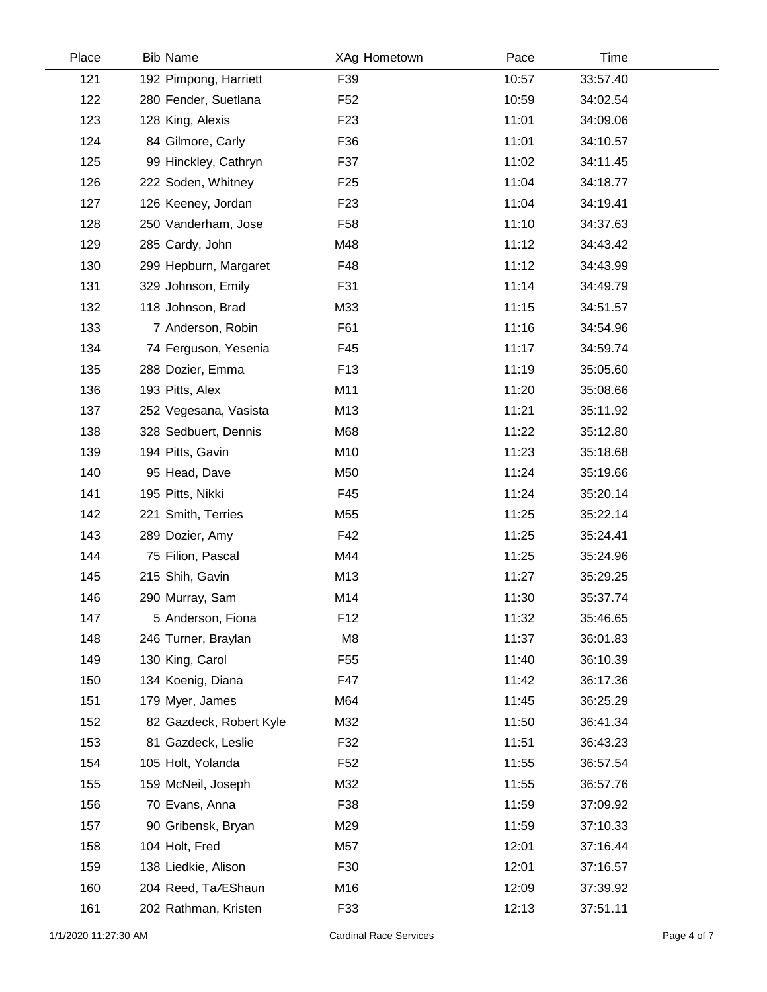| Place | <b>Bib Name</b>         | XAg Hometown    | Pace  | Time     |  |
|-------|-------------------------|-----------------|-------|----------|--|
| 121   | 192 Pimpong, Harriett   | F39             | 10:57 | 33:57.40 |  |
| 122   | 280 Fender, Suetlana    | F <sub>52</sub> | 10:59 | 34:02.54 |  |
| 123   | 128 King, Alexis        | F <sub>23</sub> | 11:01 | 34:09.06 |  |
| 124   | 84 Gilmore, Carly       | F36             | 11:01 | 34:10.57 |  |
| 125   | 99 Hinckley, Cathryn    | F37             | 11:02 | 34:11.45 |  |
| 126   | 222 Soden, Whitney      | F <sub>25</sub> | 11:04 | 34:18.77 |  |
| 127   | 126 Keeney, Jordan      | F <sub>23</sub> | 11:04 | 34:19.41 |  |
| 128   | 250 Vanderham, Jose     | F <sub>58</sub> | 11:10 | 34:37.63 |  |
| 129   | 285 Cardy, John         | M48             | 11:12 | 34:43.42 |  |
| 130   | 299 Hepburn, Margaret   | F48             | 11:12 | 34:43.99 |  |
| 131   | 329 Johnson, Emily      | F31             | 11:14 | 34:49.79 |  |
| 132   | 118 Johnson, Brad       | M33             | 11:15 | 34:51.57 |  |
| 133   | 7 Anderson, Robin       | F61             | 11:16 | 34:54.96 |  |
| 134   | 74 Ferguson, Yesenia    | F45             | 11:17 | 34:59.74 |  |
| 135   | 288 Dozier, Emma        | F <sub>13</sub> | 11:19 | 35:05.60 |  |
| 136   | 193 Pitts, Alex         | M11             | 11:20 | 35:08.66 |  |
| 137   | 252 Vegesana, Vasista   | M13             | 11:21 | 35:11.92 |  |
| 138   | 328 Sedbuert, Dennis    | M68             | 11:22 | 35:12.80 |  |
| 139   | 194 Pitts, Gavin        | M10             | 11:23 | 35:18.68 |  |
| 140   | 95 Head, Dave           | M50             | 11:24 | 35:19.66 |  |
| 141   | 195 Pitts, Nikki        | F45             | 11:24 | 35:20.14 |  |
| 142   | 221 Smith, Terries      | M55             | 11:25 | 35:22.14 |  |
| 143   | 289 Dozier, Amy         | F42             | 11:25 | 35:24.41 |  |
| 144   | 75 Filion, Pascal       | M44             | 11:25 | 35:24.96 |  |
| 145   | 215 Shih, Gavin         | M13             | 11:27 | 35:29.25 |  |
| 146   | 290 Murray, Sam         | M14             | 11:30 | 35:37.74 |  |
| 147   | 5 Anderson, Fiona       | F12             | 11:32 | 35:46.65 |  |
| 148   | 246 Turner, Braylan     | M <sub>8</sub>  | 11:37 | 36:01.83 |  |
| 149   | 130 King, Carol         | F <sub>55</sub> | 11:40 | 36:10.39 |  |
| 150   | 134 Koenig, Diana       | F47             | 11:42 | 36:17.36 |  |
| 151   | 179 Myer, James         | M64             | 11:45 | 36:25.29 |  |
| 152   | 82 Gazdeck, Robert Kyle | M32             | 11:50 | 36:41.34 |  |
| 153   | 81 Gazdeck, Leslie      | F32             | 11:51 | 36:43.23 |  |
| 154   | 105 Holt, Yolanda       | F <sub>52</sub> | 11:55 | 36:57.54 |  |
| 155   | 159 McNeil, Joseph      | M32             | 11:55 | 36:57.76 |  |
| 156   | 70 Evans, Anna          | F38             | 11:59 | 37:09.92 |  |
| 157   | 90 Gribensk, Bryan      | M29             | 11:59 | 37:10.33 |  |
| 158   | 104 Holt, Fred          | M57             | 12:01 | 37:16.44 |  |
| 159   | 138 Liedkie, Alison     | F30             | 12:01 | 37:16.57 |  |
| 160   | 204 Reed, TaÆShaun      | M16             | 12:09 | 37:39.92 |  |
| 161   | 202 Rathman, Kristen    | F33             | 12:13 | 37:51.11 |  |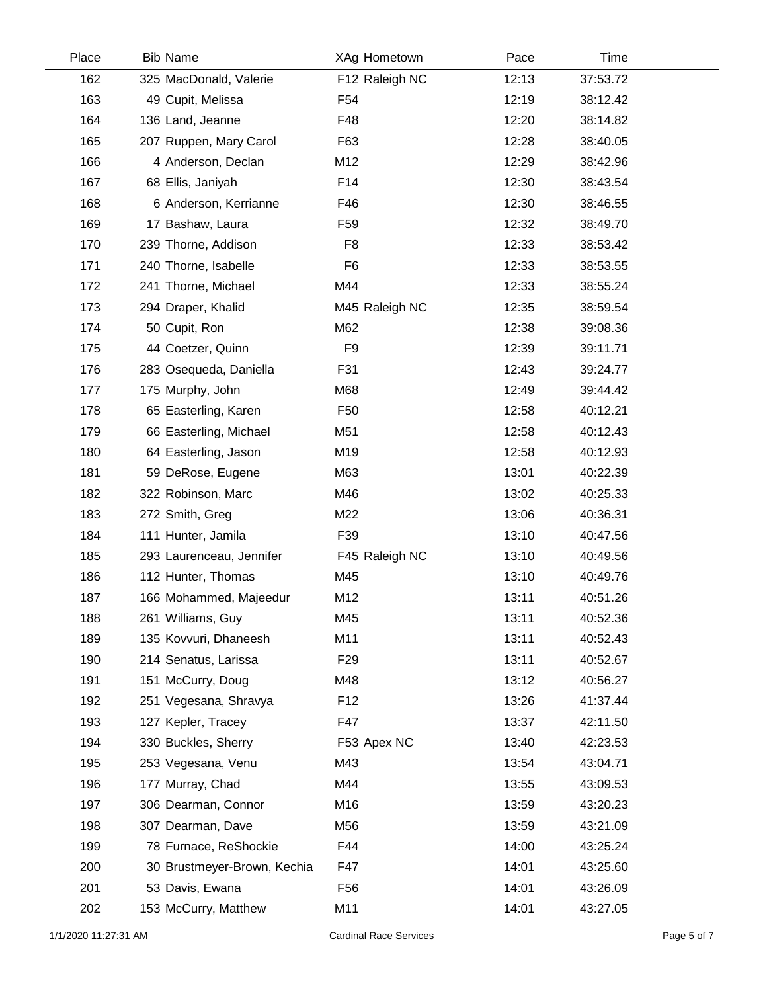| Place | <b>Bib Name</b>             | XAg Hometown    | Pace  | Time     |
|-------|-----------------------------|-----------------|-------|----------|
| 162   | 325 MacDonald, Valerie      | F12 Raleigh NC  | 12:13 | 37:53.72 |
| 163   | 49 Cupit, Melissa           | F <sub>54</sub> | 12:19 | 38:12.42 |
| 164   | 136 Land, Jeanne            | F48             | 12:20 | 38:14.82 |
| 165   | 207 Ruppen, Mary Carol      | F63             | 12:28 | 38:40.05 |
| 166   | 4 Anderson, Declan          | M12             | 12:29 | 38:42.96 |
| 167   | 68 Ellis, Janiyah           | F14             | 12:30 | 38:43.54 |
| 168   | 6 Anderson, Kerrianne       | F46             | 12:30 | 38:46.55 |
| 169   | 17 Bashaw, Laura            | F <sub>59</sub> | 12:32 | 38:49.70 |
| 170   | 239 Thorne, Addison         | F <sub>8</sub>  | 12:33 | 38:53.42 |
| 171   | 240 Thorne, Isabelle        | F <sub>6</sub>  | 12:33 | 38:53.55 |
| 172   | 241 Thorne, Michael         | M44             | 12:33 | 38:55.24 |
| 173   | 294 Draper, Khalid          | M45 Raleigh NC  | 12:35 | 38:59.54 |
| 174   | 50 Cupit, Ron               | M62             | 12:38 | 39:08.36 |
| 175   | 44 Coetzer, Quinn           | F <sub>9</sub>  | 12:39 | 39:11.71 |
| 176   | 283 Osequeda, Daniella      | F31             | 12:43 | 39:24.77 |
| 177   | 175 Murphy, John            | M68             | 12:49 | 39:44.42 |
| 178   | 65 Easterling, Karen        | F <sub>50</sub> | 12:58 | 40:12.21 |
| 179   | 66 Easterling, Michael      | M51             | 12:58 | 40:12.43 |
| 180   | 64 Easterling, Jason        | M19             | 12:58 | 40:12.93 |
| 181   | 59 DeRose, Eugene           | M63             | 13:01 | 40:22.39 |
| 182   | 322 Robinson, Marc          | M46             | 13:02 | 40:25.33 |
| 183   | 272 Smith, Greg             | M22             | 13:06 | 40:36.31 |
| 184   | 111 Hunter, Jamila          | F39             | 13:10 | 40:47.56 |
| 185   | 293 Laurenceau, Jennifer    | F45 Raleigh NC  | 13:10 | 40:49.56 |
| 186   | 112 Hunter, Thomas          | M45             | 13:10 | 40:49.76 |
| 187   | 166 Mohammed, Majeedur      | M12             | 13:11 | 40:51.26 |
| 188   | 261 Williams, Guy           | M45             | 13:11 | 40:52.36 |
| 189   | 135 Kovvuri, Dhaneesh       | M11             | 13:11 | 40:52.43 |
| 190   | 214 Senatus, Larissa        | F <sub>29</sub> | 13:11 | 40:52.67 |
| 191   | 151 McCurry, Doug           | M48             | 13:12 | 40:56.27 |
| 192   | 251 Vegesana, Shravya       | F <sub>12</sub> | 13:26 | 41:37.44 |
| 193   | 127 Kepler, Tracey          | F47             | 13:37 | 42:11.50 |
| 194   | 330 Buckles, Sherry         | F53 Apex NC     | 13:40 | 42:23.53 |
| 195   | 253 Vegesana, Venu          | M43             | 13:54 | 43:04.71 |
| 196   | 177 Murray, Chad            | M44             | 13:55 | 43:09.53 |
| 197   | 306 Dearman, Connor         | M16             | 13:59 | 43:20.23 |
| 198   | 307 Dearman, Dave           | M56             | 13:59 | 43:21.09 |
| 199   | 78 Furnace, ReShockie       | F44             | 14:00 | 43:25.24 |
| 200   | 30 Brustmeyer-Brown, Kechia | F47             | 14:01 | 43:25.60 |
| 201   | 53 Davis, Ewana             | F <sub>56</sub> | 14:01 | 43:26.09 |
| 202   | 153 McCurry, Matthew        | M11             | 14:01 | 43:27.05 |
|       |                             |                 |       |          |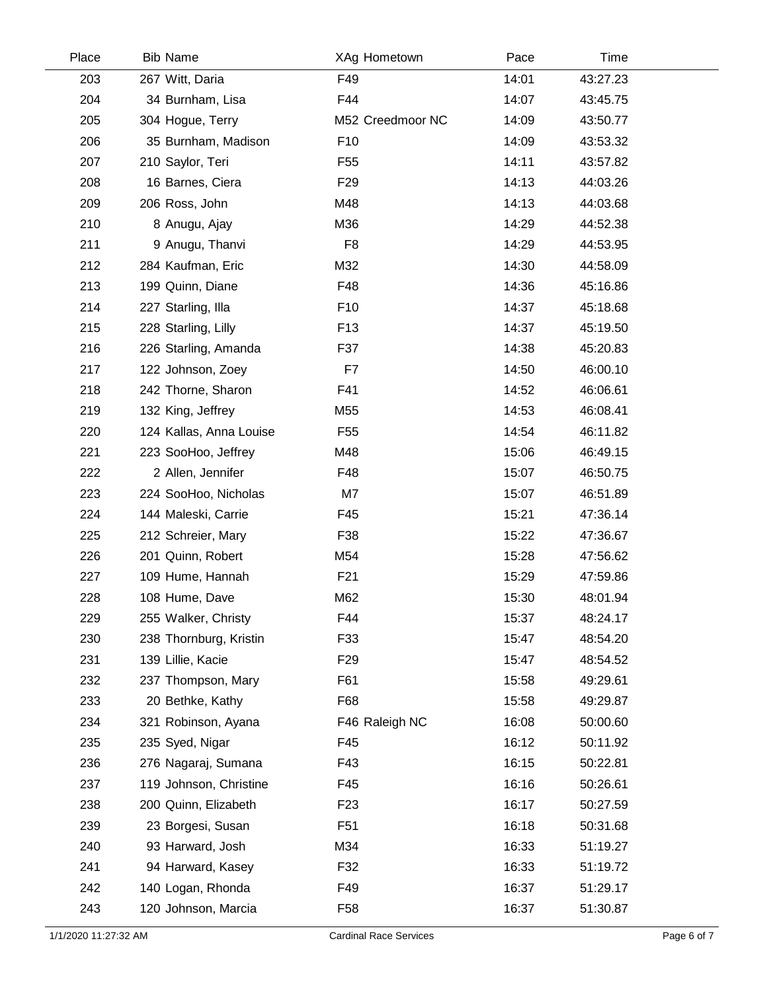| Place | <b>Bib Name</b>         | XAg Hometown     | Pace  | Time     |  |
|-------|-------------------------|------------------|-------|----------|--|
| 203   | 267 Witt, Daria         | F49              | 14:01 | 43:27.23 |  |
| 204   | 34 Burnham, Lisa        | F44              | 14:07 | 43:45.75 |  |
| 205   | 304 Hogue, Terry        | M52 Creedmoor NC | 14:09 | 43:50.77 |  |
| 206   | 35 Burnham, Madison     | F <sub>10</sub>  | 14:09 | 43:53.32 |  |
| 207   | 210 Saylor, Teri        | F <sub>55</sub>  | 14:11 | 43:57.82 |  |
| 208   | 16 Barnes, Ciera        | F <sub>29</sub>  | 14:13 | 44:03.26 |  |
| 209   | 206 Ross, John          | M48              | 14:13 | 44:03.68 |  |
| 210   | 8 Anugu, Ajay           | M36              | 14:29 | 44:52.38 |  |
| 211   | 9 Anugu, Thanvi         | F <sub>8</sub>   | 14:29 | 44:53.95 |  |
| 212   | 284 Kaufman, Eric       | M32              | 14:30 | 44:58.09 |  |
| 213   | 199 Quinn, Diane        | F48              | 14:36 | 45:16.86 |  |
| 214   | 227 Starling, Illa      | F <sub>10</sub>  | 14:37 | 45:18.68 |  |
| 215   | 228 Starling, Lilly     | F <sub>13</sub>  | 14:37 | 45:19.50 |  |
| 216   | 226 Starling, Amanda    | F37              | 14:38 | 45:20.83 |  |
| 217   | 122 Johnson, Zoey       | F7               | 14:50 | 46:00.10 |  |
| 218   | 242 Thorne, Sharon      | F41              | 14:52 | 46:06.61 |  |
| 219   | 132 King, Jeffrey       | M55              | 14:53 | 46:08.41 |  |
| 220   | 124 Kallas, Anna Louise | F <sub>55</sub>  | 14:54 | 46:11.82 |  |
| 221   | 223 SooHoo, Jeffrey     | M48              | 15:06 | 46:49.15 |  |
| 222   | 2 Allen, Jennifer       | F48              | 15:07 | 46:50.75 |  |
| 223   | 224 SooHoo, Nicholas    | M7               | 15:07 | 46:51.89 |  |
| 224   | 144 Maleski, Carrie     | F45              | 15:21 | 47:36.14 |  |
| 225   | 212 Schreier, Mary      | F38              | 15:22 | 47:36.67 |  |
| 226   | 201 Quinn, Robert       | M54              | 15:28 | 47:56.62 |  |
| 227   | 109 Hume, Hannah        | F <sub>21</sub>  | 15:29 | 47:59.86 |  |
| 228   | 108 Hume, Dave          | M62              | 15:30 | 48:01.94 |  |
| 229   | 255 Walker, Christy     | F44              | 15:37 | 48:24.17 |  |
| 230   | 238 Thornburg, Kristin  | F33              | 15:47 | 48:54.20 |  |
| 231   | 139 Lillie, Kacie       | F <sub>29</sub>  | 15:47 | 48:54.52 |  |
| 232   | 237 Thompson, Mary      | F61              | 15:58 | 49:29.61 |  |
| 233   | 20 Bethke, Kathy        | F68              | 15:58 | 49:29.87 |  |
| 234   | 321 Robinson, Ayana     | F46 Raleigh NC   | 16:08 | 50:00.60 |  |
| 235   | 235 Syed, Nigar         | F45              | 16:12 | 50:11.92 |  |
| 236   | 276 Nagaraj, Sumana     | F43              | 16:15 | 50:22.81 |  |
| 237   | 119 Johnson, Christine  | F45              | 16:16 | 50:26.61 |  |
| 238   | 200 Quinn, Elizabeth    | F <sub>23</sub>  | 16:17 | 50:27.59 |  |
| 239   | 23 Borgesi, Susan       | F <sub>51</sub>  | 16:18 | 50:31.68 |  |
| 240   | 93 Harward, Josh        | M34              | 16:33 | 51:19.27 |  |
| 241   | 94 Harward, Kasey       | F32              | 16:33 | 51:19.72 |  |
| 242   | 140 Logan, Rhonda       | F49              | 16:37 | 51:29.17 |  |
| 243   | 120 Johnson, Marcia     | F <sub>58</sub>  | 16:37 | 51:30.87 |  |
|       |                         |                  |       |          |  |